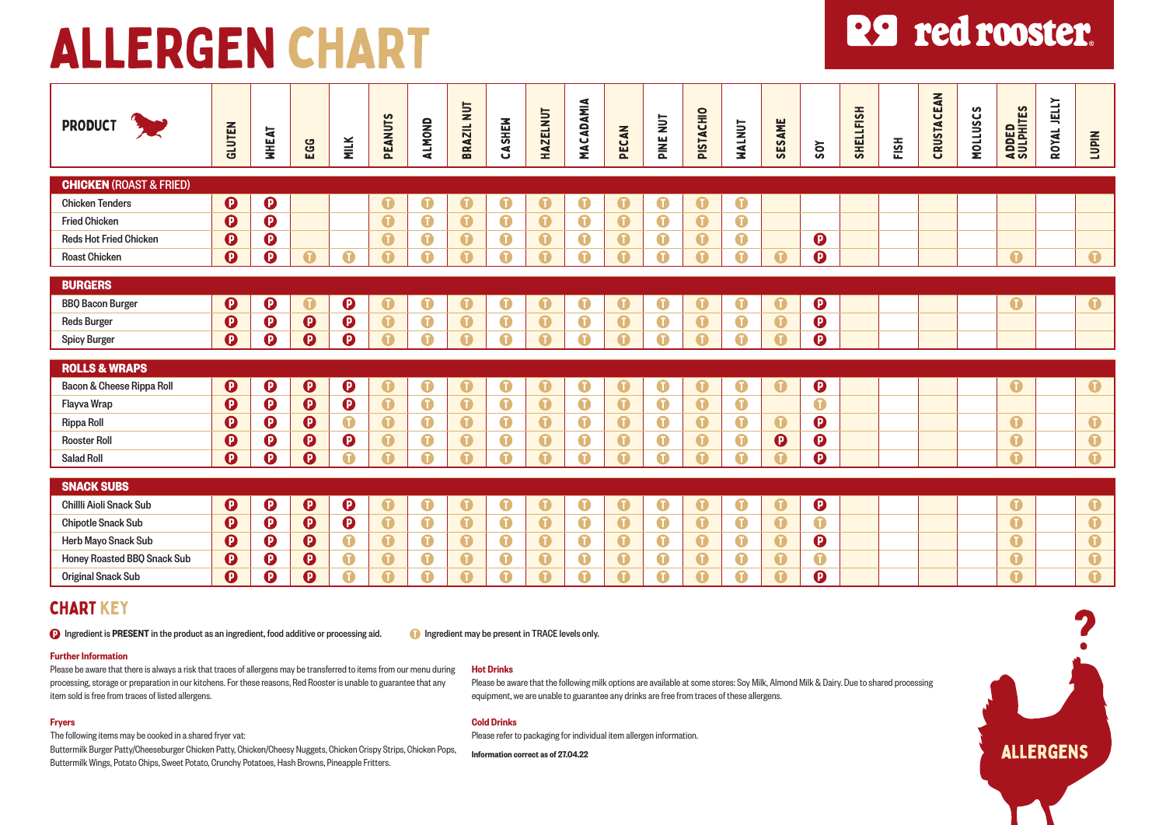# **R9** red rooster.

| <b>PRODUCT</b>                     | GLUTEN                  | <b>WHEAT</b>          | EGG                                              | <b>MILK</b>                | <b>PEANUTS</b>           | <b>ALMOND</b>           | BRAZIL NUT              | CASHEM                  | <b>HAZELNUT</b>          | <b>MACADAMIA</b> | PECAN                         | PINE NUT                | PISTACHIO                     | NALNUT                        | SESAME                     | Sov                     | SHELLFISH | FISH | CRUSTACEAN | <b>MOLLUSCS</b> | ADDED<br>Sulphites              | JELLY<br>ROYAL | <b>NIdn1</b>            |
|------------------------------------|-------------------------|-----------------------|--------------------------------------------------|----------------------------|--------------------------|-------------------------|-------------------------|-------------------------|--------------------------|------------------|-------------------------------|-------------------------|-------------------------------|-------------------------------|----------------------------|-------------------------|-----------|------|------------|-----------------|---------------------------------|----------------|-------------------------|
| <b>CHICKEN (ROAST &amp; FRIED)</b> |                         |                       |                                                  |                            |                          |                         |                         |                         |                          |                  |                               |                         |                               |                               |                            |                         |           |      |            |                 |                                 |                |                         |
| <b>Chicken Tenders</b>             | $\boldsymbol{\Theta}$   | $\boldsymbol{\Theta}$ |                                                  |                            | $\bf{C}$                 | ❶                       | $\mathbf 0$             | $\mathbf 0$             | $\mathbf 0$              | $\mathbf 0$      | $\bullet$                     | $\bullet$               | $\bf{0}$                      | $\bullet$                     |                            |                         |           |      |            |                 |                                 |                |                         |
| <b>Fried Chicken</b>               | $\boldsymbol{\Omega}$   | $\boldsymbol{\Theta}$ |                                                  |                            | $\mathbf \Omega$         | $\bullet$               | $\bullet$               | $\bullet$               | $\bullet$                | $\bullet$        | $\bullet$                     | $\bullet$               | $\bullet$                     | $\bullet$                     |                            |                         |           |      |            |                 |                                 |                |                         |
| <b>Reds Hot Fried Chicken</b>      | $\boldsymbol{\Theta}$   | $\boldsymbol{\Theta}$ |                                                  |                            | $\bullet$                | $\bullet$               | $\bullet$               | $\bullet$               | $\bullet$                | $\bullet$        | $\bullet$                     | $\bullet$               | $\bullet$                     | $\bullet$                     |                            | $\boldsymbol{\Theta}$   |           |      |            |                 |                                 |                |                         |
| <b>Roast Chicken</b>               | $\boldsymbol{\Omega}$   | $\boldsymbol{\Omega}$ | $\mathbf 0$                                      | 0                          | A                        | 0                       | $\Omega$                | $\bullet$               | ⋒                        | A                | $\bullet$                     | $\mathbf \Omega$        | $\bullet$                     | $\mathbf 0$                   | Q                          | $\overline{\mathbf{O}}$ |           |      |            |                 | $\bullet$                       |                | $\bullet$               |
|                                    |                         |                       |                                                  |                            |                          |                         |                         |                         |                          |                  |                               |                         |                               |                               |                            |                         |           |      |            |                 |                                 |                |                         |
| <b>BURGERS</b>                     |                         |                       |                                                  |                            |                          |                         |                         |                         |                          |                  |                               |                         |                               |                               |                            |                         |           |      |            |                 |                                 |                |                         |
| <b>BBQ Bacon Burger</b>            | $\boldsymbol{\Omega}$   | $\boldsymbol{\Theta}$ | $\mathbf 0$                                      | $\boldsymbol{\Theta}$      | $\mathbf 0$              | $\bullet$               | $\bullet$               | $\bullet$               | $\mathbf 0$              | $\mathbf 0$      | $\bullet$                     | $\mathbf 0$             | $\mathbf 0$                   | $\mathbf 0$                   | $\mathbf 0$                | $\boldsymbol{\Theta}$   |           |      |            |                 | $\mathbf 0$                     |                | $\bullet$               |
| <b>Reds Burger</b>                 | $\boldsymbol{\Theta}$   | $\boldsymbol{\Theta}$ | $\bullet$                                        | $\boldsymbol{\Theta}$      | $\bullet$                | $\bullet$               | $\bullet$               | $\bullet$               | $\bullet$                | $\bullet$        | $\bullet$                     | $\bullet$               | $\bullet$                     | $\bullet$                     | $\bullet$                  | $\boldsymbol{\Theta}$   |           |      |            |                 |                                 |                |                         |
| <b>Spicy Burger</b>                | $\boldsymbol{\Omega}$   | $\boldsymbol{\Omega}$ | $\boldsymbol{\Theta}$                            | $\boldsymbol{\Theta}$      | Ω                        | $\mathbf 0$             | $\mathbf \Omega$        | $\bullet$               | ⋒                        | 0                | $\bullet$                     | $\bullet$               | $\mathbf 0$                   | $\mathbf 0$                   | G                          | $\overline{\mathbf{O}}$ |           |      |            |                 |                                 |                |                         |
| <b>ROLLS &amp; WRAPS</b>           |                         |                       |                                                  |                            |                          |                         |                         |                         |                          |                  |                               |                         |                               |                               |                            |                         |           |      |            |                 |                                 |                |                         |
|                                    |                         |                       |                                                  |                            |                          |                         |                         |                         |                          |                  |                               |                         |                               |                               |                            |                         |           |      |            |                 |                                 |                |                         |
| Bacon & Cheese Rippa Roll          | $\boldsymbol{\Theta}$   | $\boldsymbol{\Theta}$ | $\boldsymbol{\Theta}$<br>$\overline{\mathbf{O}}$ | $\boldsymbol{\Theta}$      | $\mathbf 0$<br>$\bullet$ | $\bullet$               | $\bullet$<br>$\bullet$  | $\bullet$               | $\mathbf 0$<br>$\bullet$ | $\bullet$        | $\bullet$<br>$\bullet$        | $\bullet$<br>$\bullet$  | $\mathbf 0$<br>$\bullet$      | $\bullet$<br>$\bullet$        | $\bullet$                  | $\bullet$<br>$\bullet$  |           |      |            |                 | $\bullet$                       |                | $\bullet$               |
| Flayva Wrap                        | $\mathbf 0$             | $\boldsymbol{\Theta}$ |                                                  | $\bullet$<br>$\bullet$     | $\bullet$                | $\bullet$               | $\bullet$               | $\bullet$               | $\bullet$                | $\bullet$        |                               | $\bullet$               |                               |                               |                            |                         |           |      |            |                 |                                 |                |                         |
| Rippa Roll                         | $\boldsymbol{\Omega}$   | $\boldsymbol{\Theta}$ | $\boldsymbol{\Theta}$                            |                            |                          | $\bullet$               |                         | $\bullet$               |                          | $\bullet$        | $\bullet$                     |                         | $\bullet$                     | $\bullet$                     | $\mathbf 0$                | $\bf{O}$                |           |      |            |                 | $\bullet$                       |                | $\bullet$               |
| <b>Rooster Roll</b>                | $\boldsymbol{\Omega}$   | $\boldsymbol{\Theta}$ | $\boldsymbol{\Theta}$                            | $\boldsymbol{\Theta}$<br>A | $\mathbf 0$<br>Ω         | $\bullet$<br><u>ଳ</u>   | $\bullet$<br>$\Omega$   | $\bullet$<br>Ω          | $\bullet$<br>⋒           | $\bullet$<br>6   | $\bullet$<br>$\mathbf \Omega$ | $\bullet$<br>Ω          | $\bullet$<br>$\mathbf \Omega$ | $\bullet$<br>$\mathbf \Omega$ | $\boldsymbol{\Theta}$<br>n | $\mathbf 0$             |           |      |            |                 | $\mathbf 0$<br>$\mathbf \Omega$ |                | $\bullet$               |
| <b>Salad Roll</b>                  | $\boldsymbol{\Omega}$   | $\mathbf  \Phi$       | $\boldsymbol{\Omega}$                            |                            |                          |                         |                         |                         |                          |                  |                               |                         |                               |                               |                            | $\bullet$               |           |      |            |                 |                                 |                | $\bullet$               |
| <b>SNACK SUBS</b>                  |                         |                       |                                                  |                            |                          |                         |                         |                         |                          |                  |                               |                         |                               |                               |                            |                         |           |      |            |                 |                                 |                |                         |
| Chillli Aioli Snack Sub            | $\boldsymbol{\Omega}$   | $\boldsymbol{\Theta}$ | $\boldsymbol{\Theta}$                            | $\boldsymbol{\Theta}$      | O                        | $\mathbf 0$             | $\mathbf 0$             | $\mathbf 0$             | $\bullet$                | $\mathbf 0$      | $\bullet$                     | $\mathbf 0$             | $\mathbf 0$                   | $\mathbf 0$                   | $\mathbf 0$                | $\boldsymbol{\Theta}$   |           |      |            |                 | $\mathbf 0$                     |                | $\bullet$               |
| <b>Chipotle Snack Sub</b>          | $\boldsymbol{\Theta}$   | $\bullet$             | $\bullet$                                        | $\bullet$                  | $\bullet$                | $\bullet$               | $\bullet$               | $\bullet$               | $\bullet$                | $\bullet$        | $\bullet$                     | $\bullet$               | $\bullet$                     | $\bullet$                     | $\bullet$                  | $\bullet$               |           |      |            |                 | $\bullet$                       |                | $\overline{\mathbf{o}}$ |
| Herb Mayo Snack Sub                | $\boldsymbol{\Theta}$   | $\boldsymbol{\Theta}$ | $\boldsymbol{\Theta}$                            | $\bullet$                  | $\bullet$                | $\bullet$               | $\bullet$               | $\bullet$               | $\bullet$                | $\bullet$        | $\bullet$                     | $\bullet$               | $\bullet$                     | $\bullet$                     | $\bullet$                  | $\boldsymbol{\Theta}$   |           |      |            |                 | $\bullet$                       |                | $\overline{\mathbf{0}}$ |
| Honey Roasted BBQ Snack Sub        | $\boldsymbol{\Theta}$   | $\boldsymbol{\Theta}$ | $\boldsymbol{\Theta}$                            | $\bullet$                  | $\bullet$                | $\mathbf 0$             | $\bullet$               | $\bullet$               | $\bullet$                | $\mathbf 0$      | $\bullet$                     | $\bullet$               | $\bullet$                     | $\mathbf 0$                   | $\bullet$                  | $\bullet$               |           |      |            |                 | $\bullet$                       |                | $\bullet$               |
| <b>Original Snack Sub</b>          | $\overline{\mathbf{O}}$ | $\mathbf 0$           | $\overline{\mathbf{Q}}$                          | $\overline{\mathbf{0}}$    | $\overline{\mathbf{0}}$  | $\overline{\mathbf{0}}$ | $\overline{\mathbf{O}}$ | $\overline{\mathbf{0}}$ | $\mathbf \Omega$         | $\mathbf \Omega$ | $\overline{\mathbf{0}}$       | $\overline{\mathbf{0}}$ | $\overline{\mathbf{O}}$       | $\overline{\mathbf{O}}$       | $\overline{\mathbf{G}}$    | $\overline{\mathbf{O}}$ |           |      |            |                 | $\overline{\mathbf{0}}$         |                | $\overline{\mathbf{0}}$ |

Please refer to packaging for individual item allergen information.

# CHART KEY

**D** Ingredient is PRESENT in the product as an ingredient, food additive or processing aid. Ingredient may be present in TRACE levels only.

# Further Information

Please be aware that there is always a risk that traces of allergens may be transferred to items from our menu during processing, storage or preparation in our kitchens. For these reasons, Red Rooster is unable to guarantee that any item sold is free from traces of listed allergens.

# Fryers

The following items may be cooked in a shared fryer vat:

Buttermilk Burger Patty/Cheeseburger Chicken Patty, Chicken/Cheesy Nuggets, Chicken Crispy Strips, Chicken Pops, Buttermilk Wings, Potato Chips, Sweet Potato, Crunchy Potatoes, Hash Browns, Pineapple Fritters.

### Hot Drinks

Cold Drinks

Information correct as of 27.04.22

Please be aware that the following milk options are available at some stores: Soy Milk, Almond Milk & Dairy. Due to shared processing equipment, we are unable to guarantee any drinks are free from traces of these allergens.

# **ALLERGENS**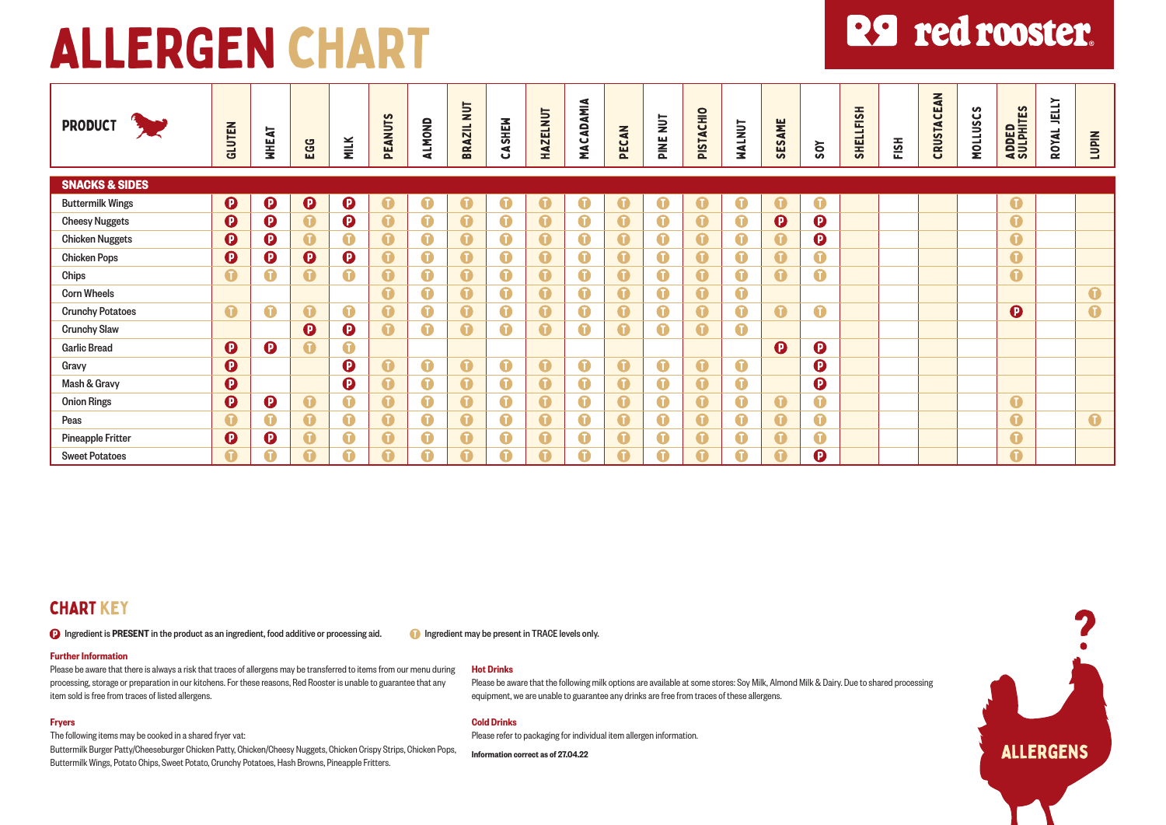# **R9** red rooster.

| <b>PRODUCT</b>            | GLUTEN                | <b>NHEAT</b>          | EGG                   | <b>MILK</b>           | S<br><b>PEANUTS</b> | <b>ALMOND</b> | $\frac{1}{2}$<br><b>AZIL</b><br>æ | ASHEW<br>ته | <b>HAZELNUT</b>  | MACADAMIA        | PECAN     | PINE NUT    | PISTACHIO   | NALNUT           | SESAME                | 50Y                   | SHELLFISH | FISH | CRUSTACEAN | S<br><b>MOLLUSC</b> | ADDED<br>Sulphites | JELLY<br>ROYAL | <b>NIdn1</b> |
|---------------------------|-----------------------|-----------------------|-----------------------|-----------------------|---------------------|---------------|-----------------------------------|-------------|------------------|------------------|-----------|-------------|-------------|------------------|-----------------------|-----------------------|-----------|------|------------|---------------------|--------------------|----------------|--------------|
| <b>SNACKS &amp; SIDES</b> |                       |                       |                       |                       |                     |               |                                   |             |                  |                  |           |             |             |                  |                       |                       |           |      |            |                     |                    |                |              |
| <b>Buttermilk Wings</b>   | $\boldsymbol{\Theta}$ | $\boldsymbol{\Theta}$ | $\boldsymbol{\Theta}$ | $\boldsymbol{\Theta}$ | $\bullet$           | $\bullet$     | $\bullet$                         | $\bullet$   | $\bullet$        | $\bullet$        | $\bullet$ | $\bullet$   | $\bullet$   | $\bullet$        | $\bullet$             | $\bullet$             |           |      |            |                     | $\bullet$          |                |              |
| <b>Cheesy Nuggets</b>     | $\boldsymbol{\Omega}$ | $\mathbf 0$           | $\bullet$             | $\mathbf 0$           | $\bullet$           | $\bullet$     | $\bullet$                         | $\bullet$   | $\mathbf 0$      | $\bullet$        | $\bullet$ | $\bullet$   | $\mathbf 0$ | $\mathbf 0$      | $\boldsymbol{\Theta}$ | $\boldsymbol{\Theta}$ |           |      |            |                     | $\bullet$          |                |              |
| <b>Chicken Nuggets</b>    | $\boldsymbol{\Theta}$ | $\mathbf 0$           | $\bullet$             | $\bullet$             | $\bullet$           | $\bullet$     | $\bullet$                         | $\bullet$   | $\bullet$        | $\bullet$        | $\bullet$ | $\bullet$   | $\bullet$   | $\bullet$        | $\bullet$             | $\boldsymbol{\Theta}$ |           |      |            |                     | $\bullet$          |                |              |
| <b>Chicken Pops</b>       | $\boldsymbol{\Omega}$ | $\mathbf 0$           | $\boldsymbol{\Theta}$ | $\boldsymbol{\Theta}$ | $\bullet$           | $\bullet$     | $\bullet$                         | $\bullet$   | $\mathbf 0$      | $\mathbf 0$      | $\bullet$ | $\bullet$   | $\bullet$   | $\bullet$        | $\bullet$             | $\bullet$             |           |      |            |                     | $\bullet$          |                |              |
| Chips                     | $\bullet$             | $\bullet$             | $\bullet$             | $\bullet$             | $\bullet$           | $\bullet$     | $\bullet$                         | $\bullet$   | $\bullet$        | $\bullet$        | $\bullet$ | $\bullet$   | $\bullet$   | $\bullet$        | $\bullet$             | $\bullet$             |           |      |            |                     | $\bullet$          |                |              |
| <b>Corn Wheels</b>        |                       |                       |                       |                       | $\bullet$           | $\bullet$     | $\bullet$                         | $\bullet$   | $\mathbf 0$      | $\bullet$        | $\bullet$ | $\bullet$   | $\mathbf 0$ | $\bullet$        |                       |                       |           |      |            |                     |                    |                | $\bullet$    |
| <b>Crunchy Potatoes</b>   | $\bullet$             | $\bullet$             | $\bullet$             | $\bullet$             | $\bullet$           | $\bullet$     | $\bullet$                         | $\bullet$   | $\bullet$        | $\mathbf 0$      | $\bullet$ | $\bullet$   | $\bullet$   | $\bullet$        | $\bullet$             | $\bullet$             |           |      |            |                     | $\mathbf 0$        |                | $\bullet$    |
| <b>Crunchy Slaw</b>       |                       |                       | $\boldsymbol{\Theta}$ | $\mathbf 0$           | $\bullet$           | $\bullet$     | $\bullet$                         | $\bullet$   | $\mathbf 0$      | $\mathbf 0$      | $\bullet$ | $\bullet$   | $\bullet$   | $\bullet$        |                       |                       |           |      |            |                     |                    |                |              |
| <b>Garlic Bread</b>       | $\boldsymbol{\Theta}$ | $\boldsymbol{\Theta}$ | $\bullet$             | $\bullet$             |                     |               |                                   |             |                  |                  |           |             |             |                  | $\boldsymbol{\Theta}$ | $\boldsymbol{\Theta}$ |           |      |            |                     |                    |                |              |
| Gravy                     | $\mathbf 0$           |                       |                       | $\boldsymbol{\Omega}$ | $\bullet$           | $\bullet$     | $\bullet$                         | $\bullet$   | $\bullet$        | $\bullet$        | $\bullet$ | $\bullet$   | $\bullet$   | $\bullet$        |                       | $\boldsymbol{\Theta}$ |           |      |            |                     |                    |                |              |
| Mash & Gravy              | $\boldsymbol{\Omega}$ |                       |                       | $\boldsymbol{\Theta}$ | $\bullet$           | $\bullet$     | $\bullet$                         | $\bullet$   | $\mathbf 0$      | $\bullet$        | $\bullet$ | $\bullet$   | $\bullet$   | $\bullet$        |                       | $\boldsymbol{\Theta}$ |           |      |            |                     |                    |                |              |
| <b>Onion Rings</b>        | $\boldsymbol{\Omega}$ | $\boldsymbol{\Omega}$ | $\bullet$             | $\bullet$             | $\bullet$           | $\bullet$     | $\bullet$                         | $\bullet$   | $\mathbf \Omega$ | $\mathbf \Omega$ | $\bullet$ | $\mathbf 0$ | $\bullet$   | $\bullet$        | $\bullet$             | $\bullet$             |           |      |            |                     | $\bullet$          |                |              |
| Peas                      | $\mathbf \Omega$      | $\bullet$             | $\bullet$             | $\bullet$             | $\bullet$           | $\bullet$     | $\bullet$                         | $\bullet$   | $\bullet$        | $\bullet$        | $\bullet$ | $\bullet$   | $\bullet$   | $\bullet$        | $\bullet$             | $\bullet$             |           |      |            |                     | $\bullet$          |                | $\bullet$    |
| <b>Pineapple Fritter</b>  | $\boldsymbol{\Theta}$ | $\mathbf 0$           | $\bullet$             | $\bullet$             | $\bullet$           | $\bullet$     | $\bullet$                         | $\bullet$   | $\mathbf 0$      | $\mathbf 0$      | $\bullet$ | $\bullet$   | $\bullet$   | $\mathbf \Omega$ | $\bullet$             | $\bullet$             |           |      |            |                     | $\bullet$          |                |              |
| <b>Sweet Potatoes</b>     | $\bullet$             | Q                     | $\bullet$             | Ω                     |                     | G             | $\bullet$                         | Ω           |                  |                  | $\bullet$ |             | Ω           | A                | $\mathbf \Omega$      | $\mathbf 0$           |           |      |            |                     | $\bullet$          |                |              |

# CHART KEY

**D** Ingredient is PRESENT in the product as an ingredient, food additive or processing aid. Ingredient may be present in TRACE levels only.

### Further Information

Please be aware that there is always a risk that traces of allergens may be transferred to items from our menu during processing, storage or preparation in our kitchens. For these reasons, Red Rooster is unable to guarantee that any item sold is free from traces of listed allergens.

# Fryers

The following items may be cooked in a shared fryer vat:

Buttermilk Burger Patty/Cheeseburger Chicken Patty, Chicken/Cheesy Nuggets, Chicken Crispy Strips, Chicken Pops, Buttermilk Wings, Potato Chips, Sweet Potato, Crunchy Potatoes, Hash Browns, Pineapple Fritters.

# Hot Drinks

Please be aware that the following milk options are available at some stores: Soy Milk, Almond Milk & Dairy. Due to shared processing equipment, we are unable to guarantee any drinks are free from traces of these allergens.

# Cold Drinks

Please refer to packaging for individual item allergen information.

Information correct as of 27.04.22

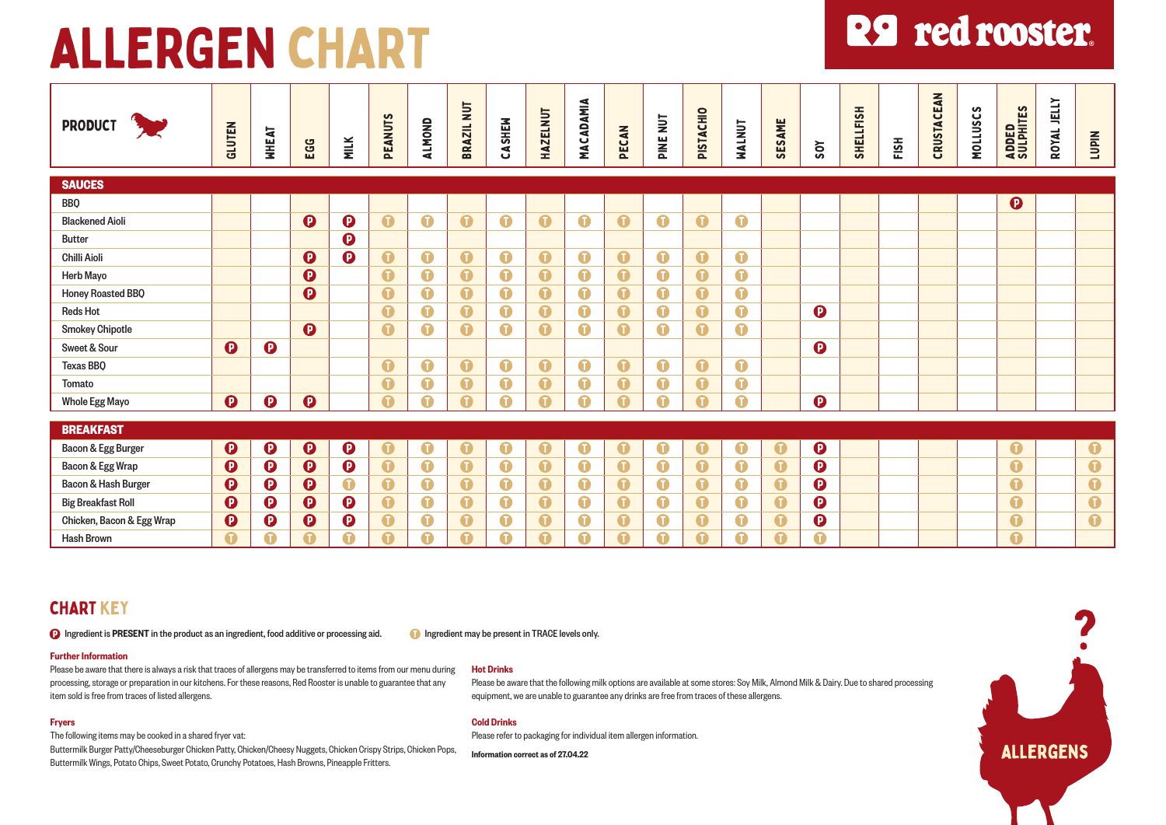# **R9** red rooster.

| PRODUCT <b>FOR</b>                     | GLUTEN                | <b>WHEAT</b>          | EGG                     | <b>MILK</b>           | <b>PEANUTS</b>   | <b>ALMOND</b>    | BRAZIL NUT              | CASHEM      | <b>HAZELNUT</b>  | MACADAMIA        | PECAN                   | PINE NUT    | PISTACHIO   | NALNUT           | SESAME           | <b>ZOY</b>            | SHELLFISH | FISH | CRUSTACEAN | <b>MOLLUSCS</b> | ADDED<br>Sulphites    | ROYAL JELLY | <b>NId01</b> |
|----------------------------------------|-----------------------|-----------------------|-------------------------|-----------------------|------------------|------------------|-------------------------|-------------|------------------|------------------|-------------------------|-------------|-------------|------------------|------------------|-----------------------|-----------|------|------------|-----------------|-----------------------|-------------|--------------|
| <b>SAUCES</b>                          |                       |                       |                         |                       |                  |                  |                         |             |                  |                  |                         |             |             |                  |                  |                       |           |      |            |                 |                       |             |              |
| <b>BBQ</b>                             |                       |                       |                         |                       |                  |                  |                         |             |                  |                  |                         |             |             |                  |                  |                       |           |      |            |                 | $\boldsymbol{\Theta}$ |             |              |
| <b>Blackened Aioli</b>                 |                       |                       | $\boldsymbol{\Omega}$   | $\boldsymbol{\Theta}$ | $\bullet$        | $\bullet$        | $\bullet$               | $\bullet$   | $\bullet$        | $\mathbf 0$      | $\bullet$               | $\bullet$   | $\bullet$   | $\bullet$        |                  |                       |           |      |            |                 |                       |             |              |
| <b>Butter</b>                          |                       |                       |                         | $\mathbf 0$           |                  |                  |                         |             |                  |                  |                         |             |             |                  |                  |                       |           |      |            |                 |                       |             |              |
| <b>Chilli Aioli</b>                    |                       |                       | $\boldsymbol{\Theta}$   | $\boldsymbol{\Theta}$ | $\bullet$        | $\bullet$        | $\bullet$               | $\bullet$   | $\bullet$        | $\bullet$        | $\bullet$               | $\bullet$   | $\bullet$   | $\bullet$        |                  |                       |           |      |            |                 |                       |             |              |
| <b>Herb Mayo</b>                       |                       |                       | $\boldsymbol{\Theta}$   |                       | $\bullet$        | $\bullet$        | $\bullet$               | $\bullet$   | $\bullet$        | $\bullet$        | $\bullet$               | $\mathbf 0$ | $\bullet$   | $\bullet$        |                  |                       |           |      |            |                 |                       |             |              |
| Honey Roasted BBQ                      |                       |                       | $\overline{\mathbf{O}}$ |                       | $\mathbf 0$      | $\bullet$        | $\overline{\mathbf{0}}$ | $\bullet$   | $\bullet$        | $\bullet$        | $\overline{\mathbf{O}}$ | $\mathbf 0$ | $\bullet$   | $\bullet$        |                  |                       |           |      |            |                 |                       |             |              |
| <b>Reds Hot</b>                        |                       |                       |                         |                       | $\bullet$        | $\bullet$        | $\bullet$               | $\bullet$   | $\bullet$        | $\bullet$        | $\bullet$               | $\bullet$   | $\bullet$   | $\bullet$        |                  | $\boldsymbol{\Omega}$ |           |      |            |                 |                       |             |              |
| <b>Smokey Chipotle</b>                 |                       |                       | $\boldsymbol{\Theta}$   |                       | $\mathbf 0$      | $\bullet$        | $\bullet$               | $\bullet$   | $\bullet$        | $\bullet$        | $\bullet$               | $\bullet$   | $\bullet$   | $\bullet$        |                  |                       |           |      |            |                 |                       |             |              |
| Sweet & Sour                           | $\boldsymbol{\Theta}$ | $\boldsymbol{\Theta}$ |                         |                       |                  |                  |                         |             |                  |                  |                         |             |             |                  |                  | $\boldsymbol{\Theta}$ |           |      |            |                 |                       |             |              |
| Texas BBO                              |                       |                       |                         |                       | $\bullet$        | $\bullet$        | $\bullet$               | $\bullet$   | $\bullet$        | $\bullet$        | $\bullet$               | $\bullet$   | $\bullet$   | $\bullet$        |                  |                       |           |      |            |                 |                       |             |              |
| Tomato                                 |                       |                       |                         |                       | $\mathbf 0$      | $\mathbf 0$      | $\bullet$               | $\bullet$   | $\bullet$        | $\mathbf 0$      | $\bullet$               | $\mathbf 0$ | $\mathbf 0$ | $\mathbf 0$      |                  |                       |           |      |            |                 |                       |             |              |
| <b>Whole Egg Mayo</b>                  | $\boldsymbol{\Theta}$ | $\boldsymbol{\Theta}$ | $\boldsymbol{\Theta}$   |                       | $\mathbf \Omega$ | $\mathbf \Omega$ | Ω                       | $\bullet$   | ⋒                | A                | $\bf{G}$                | Ω           | Ω           | $\bf G$          |                  | $\mathbf 0$           |           |      |            |                 |                       |             |              |
| <b>BREAKFAST</b>                       |                       |                       |                         |                       |                  |                  |                         |             |                  |                  |                         |             |             |                  |                  |                       |           |      |            |                 |                       |             |              |
|                                        | $\boldsymbol{\Theta}$ | $\boldsymbol{\Theta}$ | $\bullet$               | $\bf{O}$              | $\bullet$        | $\bullet$        | $\bullet$               | $\mathbf 0$ | $\bullet$        | $\bullet$        | $\bullet$               | $\bullet$   | $\bullet$   | $\bullet$        | $\bullet$        | $\boldsymbol{\Theta}$ |           |      |            |                 | $\bullet$             |             | $\bullet$    |
| Bacon & Egg Burger<br>Bacon & Egg Wrap | $\mathbf 0$           | $\boldsymbol{\Theta}$ | $\boldsymbol{\Theta}$   | $\boldsymbol{\Theta}$ | $\bullet$        | $\bullet$        | $\bullet$               | $\bullet$   | $\bullet$        | $\bullet$        | $\bullet$               | $\bullet$   | $\bullet$   | $\bullet$        | $\bullet$        | $\boldsymbol{\Theta}$ |           |      |            |                 | $\bullet$             |             | $\bullet$    |
| Bacon & Hash Burger                    | 0                     | $\mathbf 0$           | $\boldsymbol{\Theta}$   | $\bullet$             | $\bullet$        | $\bullet$        | $\bullet$               | $\bullet$   | $\bullet$        | $\bullet$        | $\bullet$               | $\bullet$   | $\bullet$   | $\bullet$        | $\bullet$        | $\bf{O}$              |           |      |            |                 | $\bullet$             |             | $\bullet$    |
| <b>Big Breakfast Roll</b>              | $\boldsymbol{\Theta}$ | $\mathbf 0$           | $\boldsymbol{\Theta}$   | $\mathbf 0$           | $\bullet$        | $\bullet$        | $\bullet$               | $\bullet$   | $\bullet$        | $\bullet$        | $\bullet$               | $\mathbf 0$ | $\bullet$   | $\bullet$        | $\bullet$        | $\bf{O}$              |           |      |            |                 | $\bullet$             |             | $\bullet$    |
| Chicken, Bacon & Egg Wrap              | $\boldsymbol{\Theta}$ | 0                     | $\boldsymbol{\Theta}$   | 0                     | $\mathbf 0$      | $\bullet$        | $\bullet$               | $\mathbf 0$ | $\bullet$        | O                | $\bullet$               | $\mathbf 0$ | $\bullet$   | $\mathbf 0$      | $\bullet$        | $\mathbf 0$           |           |      |            |                 | $\bullet$             |             | $\bullet$    |
| <b>Hash Brown</b>                      | $\bullet$             | O                     | $\bullet$               | 0                     | $\bullet$        | $\bullet$        | $\mathbf \Omega$        | $\bullet$   | $\mathbf \Omega$ | $\mathbf \Omega$ | $\bullet$               | A           | $\bullet$   | $\mathbf \Omega$ | $\mathbf \Omega$ | $\bullet$             |           |      |            |                 | $\bullet$             |             |              |

# CHART KEY

**D** Ingredient is PRESENT in the product as an ingredient, food additive or processing aid. Ingredient may be present in TRACE levels only.

# Further Information

Please be aware that there is always a risk that traces of allergens may be transferred to items from our menu during processing, storage or preparation in our kitchens. For these reasons, Red Rooster is unable to guarantee that any item sold is free from traces of listed allergens.

# Fryers

The following items may be cooked in a shared fryer vat:

Buttermilk Burger Patty/Cheeseburger Chicken Patty, Chicken/Cheesy Nuggets, Chicken Crispy Strips, Chicken Pops, Buttermilk Wings, Potato Chips, Sweet Potato, Crunchy Potatoes, Hash Browns, Pineapple Fritters.

# Hot Drinks

Please be aware that the following milk options are available at some stores: Soy Milk, Almond Milk & Dairy. Due to shared processing equipment, we are unable to guarantee any drinks are free from traces of these allergens.

# Cold Drinks

Please refer to packaging for individual item allergen information.

Information correct as of 27.04.22